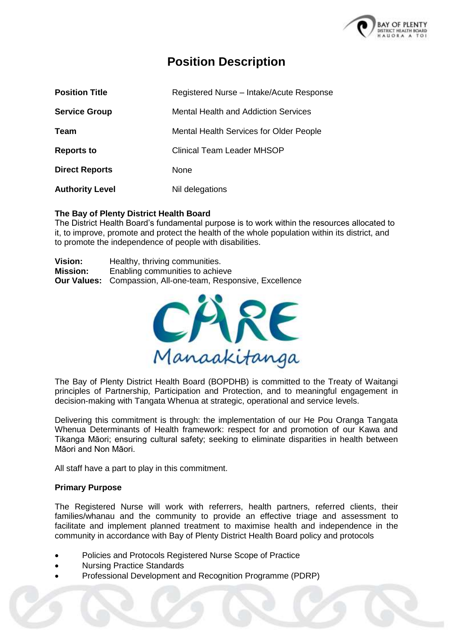

## **Position Description**

| <b>Position Title</b>  | Registered Nurse - Intake/Acute Response       |  |
|------------------------|------------------------------------------------|--|
| <b>Service Group</b>   | Mental Health and Addiction Services           |  |
| Team                   | <b>Mental Health Services for Older People</b> |  |
| <b>Reports to</b>      | <b>Clinical Team Leader MHSOP</b>              |  |
| <b>Direct Reports</b>  | None                                           |  |
| <b>Authority Level</b> | Nil delegations                                |  |

#### **The Bay of Plenty District Health Board**

The District Health Board's fundamental purpose is to work within the resources allocated to it, to improve, promote and protect the health of the whole population within its district, and to promote the independence of people with disabilities.

| <b>Vision:</b>  | Healthy, thriving communities.                                      |  |
|-----------------|---------------------------------------------------------------------|--|
| <b>Mission:</b> | Enabling communities to achieve                                     |  |
|                 | <b>Our Values:</b> Compassion, All-one-team, Responsive, Excellence |  |



The Bay of Plenty District Health Board (BOPDHB) is committed to the Treaty of Waitangi principles of Partnership, Participation and Protection, and to meaningful engagement in decision-making with Tangata Whenua at strategic, operational and service levels.

Delivering this commitment is through: the implementation of our He Pou Oranga Tangata Whenua Determinants of Health framework: respect for and promotion of our Kawa and Tikanga Māori; ensuring cultural safety; seeking to eliminate disparities in health between Māori and Non Māori.

All staff have a part to play in this commitment.

#### **Primary Purpose**

The Registered Nurse will work with referrers, health partners, referred clients, their families/whanau and the community to provide an effective triage and assessment to facilitate and implement planned treatment to maximise health and independence in the community in accordance with Bay of Plenty District Health Board policy and protocols

- Policies and Protocols Registered Nurse Scope of Practice
- Nursing Practice Standards
- Professional Development and Recognition Programme (PDRP)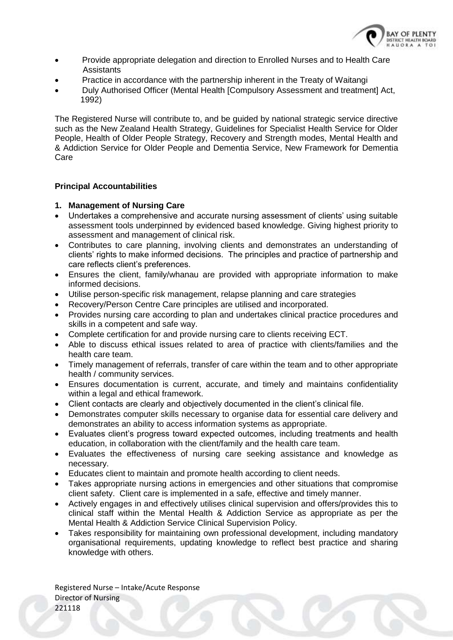

- Provide appropriate delegation and direction to Enrolled Nurses and to Health Care **Assistants**
- Practice in accordance with the partnership inherent in the Treaty of Waitangi
- Duly Authorised Officer (Mental Health [Compulsory Assessment and treatment] Act, 1992)

The Registered Nurse will contribute to, and be guided by national strategic service directive such as the New Zealand Health Strategy, Guidelines for Specialist Health Service for Older People, Health of Older People Strategy, Recovery and Strength modes, Mental Health and & Addiction Service for Older People and Dementia Service, New Framework for Dementia Care

#### **Principal Accountabilities**

#### **1. Management of Nursing Care**

- Undertakes a comprehensive and accurate nursing assessment of clients' using suitable assessment tools underpinned by evidenced based knowledge. Giving highest priority to assessment and management of clinical risk.
- Contributes to care planning, involving clients and demonstrates an understanding of clients' rights to make informed decisions. The principles and practice of partnership and care reflects client's preferences.
- Ensures the client, family/whanau are provided with appropriate information to make informed decisions.
- Utilise person-specific risk management, relapse planning and care strategies
- Recovery/Person Centre Care principles are utilised and incorporated.
- Provides nursing care according to plan and undertakes clinical practice procedures and skills in a competent and safe way.
- Complete certification for and provide nursing care to clients receiving ECT.
- Able to discuss ethical issues related to area of practice with clients/families and the health care team.
- Timely management of referrals, transfer of care within the team and to other appropriate health / community services.
- Ensures documentation is current, accurate, and timely and maintains confidentiality within a legal and ethical framework.
- Client contacts are clearly and objectively documented in the client's clinical file.
- Demonstrates computer skills necessary to organise data for essential care delivery and demonstrates an ability to access information systems as appropriate.
- Evaluates client's progress toward expected outcomes, including treatments and health education, in collaboration with the client/family and the health care team.
- Evaluates the effectiveness of nursing care seeking assistance and knowledge as necessary.
- Educates client to maintain and promote health according to client needs.
- Takes appropriate nursing actions in emergencies and other situations that compromise client safety. Client care is implemented in a safe, effective and timely manner.
- Actively engages in and effectively utilises clinical supervision and offers/provides this to clinical staff within the Mental Health & Addiction Service as appropriate as per the Mental Health & Addiction Service Clinical Supervision Policy.
- Takes responsibility for maintaining own professional development, including mandatory organisational requirements, updating knowledge to reflect best practice and sharing knowledge with others.

Registered Nurse – Intake/Acute Response Director of Nursing 221118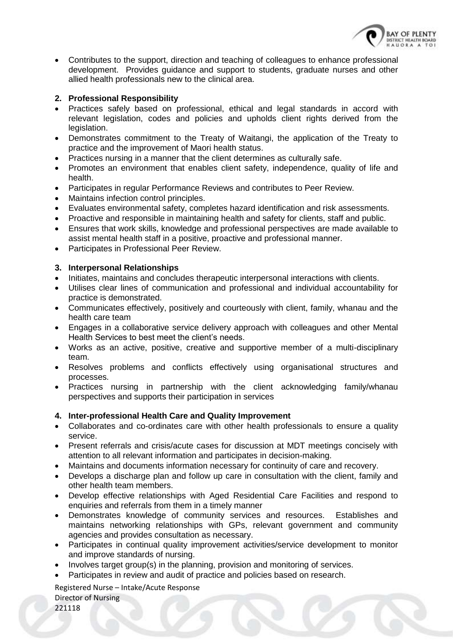

 Contributes to the support, direction and teaching of colleagues to enhance professional development. Provides guidance and support to students, graduate nurses and other allied health professionals new to the clinical area.

#### **2. Professional Responsibility**

- Practices safely based on professional, ethical and legal standards in accord with relevant legislation, codes and policies and upholds client rights derived from the legislation.
- Demonstrates commitment to the Treaty of Waitangi, the application of the Treaty to practice and the improvement of Maori health status.
- Practices nursing in a manner that the client determines as culturally safe.
- Promotes an environment that enables client safety, independence, quality of life and health.
- Participates in regular Performance Reviews and contributes to Peer Review.
- Maintains infection control principles.
- Evaluates environmental safety, completes hazard identification and risk assessments.
- Proactive and responsible in maintaining health and safety for clients, staff and public.
- Ensures that work skills, knowledge and professional perspectives are made available to assist mental health staff in a positive, proactive and professional manner.
- Participates in Professional Peer Review.

#### **3. Interpersonal Relationships**

- Initiates, maintains and concludes therapeutic interpersonal interactions with clients.
- Utilises clear lines of communication and professional and individual accountability for practice is demonstrated.
- Communicates effectively, positively and courteously with client, family, whanau and the health care team
- Engages in a collaborative service delivery approach with colleagues and other Mental Health Services to best meet the client's needs.
- Works as an active, positive, creative and supportive member of a multi-disciplinary team.
- Resolves problems and conflicts effectively using organisational structures and processes.
- Practices nursing in partnership with the client acknowledging family/whanau perspectives and supports their participation in services

#### **4. Inter-professional Health Care and Quality Improvement**

- Collaborates and co-ordinates care with other health professionals to ensure a quality service.
- Present referrals and crisis/acute cases for discussion at MDT meetings concisely with attention to all relevant information and participates in decision-making.
- Maintains and documents information necessary for continuity of care and recovery.
- Develops a discharge plan and follow up care in consultation with the client, family and other health team members.
- Develop effective relationships with Aged Residential Care Facilities and respond to enquiries and referrals from them in a timely manner
- Demonstrates knowledge of community services and resources. Establishes and maintains networking relationships with GPs, relevant government and community agencies and provides consultation as necessary.
- Participates in continual quality improvement activities/service development to monitor and improve standards of nursing.
- Involves target group(s) in the planning, provision and monitoring of services.
- Participates in review and audit of practice and policies based on research.

Registered Nurse – Intake/Acute Response Director of Nursing

221118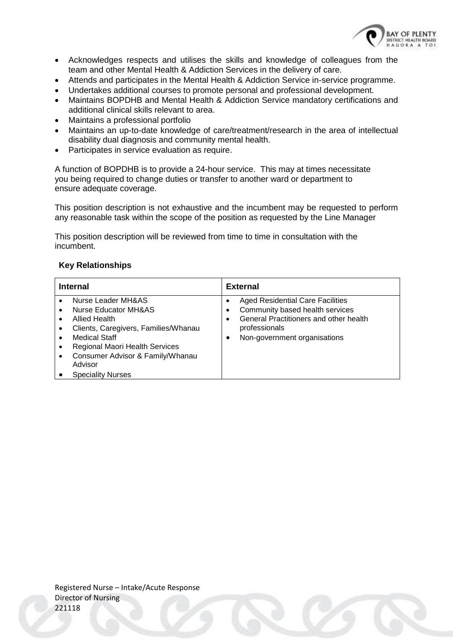

- Acknowledges respects and utilises the skills and knowledge of colleagues from the team and other Mental Health & Addiction Services in the delivery of care.
- Attends and participates in the Mental Health & Addiction Service in-service programme.
- Undertakes additional courses to promote personal and professional development.
- Maintains BOPDHB and Mental Health & Addiction Service mandatory certifications and additional clinical skills relevant to area.
- Maintains a professional portfolio
- Maintains an up-to-date knowledge of care/treatment/research in the area of intellectual disability dual diagnosis and community mental health.
- Participates in service evaluation as require.

A function of BOPDHB is to provide a 24-hour service. This may at times necessitate you being required to change duties or transfer to another ward or department to ensure adequate coverage.

This position description is not exhaustive and the incumbent may be requested to perform any reasonable task within the scope of the position as requested by the Line Manager

This position description will be reviewed from time to time in consultation with the incumbent.

#### **Key Relationships**

| <b>Internal</b>                                                                                                                                                                                                                   | <b>External</b>                                                                                                                                                                         |
|-----------------------------------------------------------------------------------------------------------------------------------------------------------------------------------------------------------------------------------|-----------------------------------------------------------------------------------------------------------------------------------------------------------------------------------------|
| Nurse Leader MH&AS<br>Nurse Educator MH&AS<br>Allied Health<br>Clients, Caregivers, Families/Whanau<br>Medical Staff<br>Regional Maori Health Services<br>Consumer Advisor & Family/Whanau<br>Advisor<br><b>Speciality Nurses</b> | <b>Aged Residential Care Facilities</b><br>Community based health services<br>General Practitioners and other health<br>$\bullet$<br>professionals<br>Non-government organisations<br>٠ |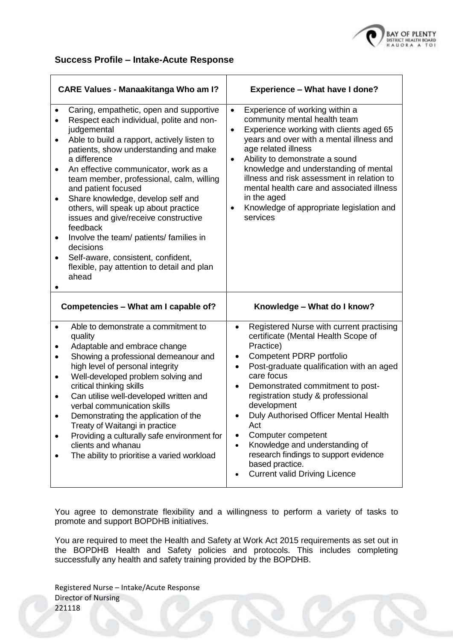

#### **Success Profile – Intake-Acute Response**

|                               | <b>CARE Values - Manaakitanga Who am I?</b>                                                                                                                                                                                                                                                                                                                                                                                                                                                                                                                                                                 | <b>Experience - What have I done?</b>                                                                                                                                                                                                                                                                                                                                                                                                                                                                                                                        |
|-------------------------------|-------------------------------------------------------------------------------------------------------------------------------------------------------------------------------------------------------------------------------------------------------------------------------------------------------------------------------------------------------------------------------------------------------------------------------------------------------------------------------------------------------------------------------------------------------------------------------------------------------------|--------------------------------------------------------------------------------------------------------------------------------------------------------------------------------------------------------------------------------------------------------------------------------------------------------------------------------------------------------------------------------------------------------------------------------------------------------------------------------------------------------------------------------------------------------------|
| ٠<br>٠<br>٠<br>٠<br>$\bullet$ | Caring, empathetic, open and supportive<br>Respect each individual, polite and non-<br>judgemental<br>Able to build a rapport, actively listen to<br>patients, show understanding and make<br>a difference<br>An effective communicator, work as a<br>team member, professional, calm, willing<br>and patient focused<br>Share knowledge, develop self and<br>others, will speak up about practice<br>issues and give/receive constructive<br>feedback<br>Involve the team/ patients/ families in<br>decisions<br>Self-aware, consistent, confident,<br>flexible, pay attention to detail and plan<br>ahead | Experience of working within a<br>$\bullet$<br>community mental health team<br>Experience working with clients aged 65<br>$\bullet$<br>years and over with a mental illness and<br>age related illness<br>Ability to demonstrate a sound<br>$\bullet$<br>knowledge and understanding of mental<br>illness and risk assessment in relation to<br>mental health care and associated illness<br>in the aged<br>Knowledge of appropriate legislation and<br>$\bullet$<br>services                                                                                |
|                               | Competencies - What am I capable of?                                                                                                                                                                                                                                                                                                                                                                                                                                                                                                                                                                        | Knowledge - What do I know?                                                                                                                                                                                                                                                                                                                                                                                                                                                                                                                                  |
| $\bullet$<br>٠<br>$\bullet$   | Able to demonstrate a commitment to<br>quality<br>Adaptable and embrace change<br>Showing a professional demeanour and<br>high level of personal integrity<br>Well-developed problem solving and<br>critical thinking skills<br>Can utilise well-developed written and<br>verbal communication skills<br>Demonstrating the application of the<br>Treaty of Waitangi in practice<br>Providing a culturally safe environment for<br>clients and whanau<br>The ability to prioritise a varied workload                                                                                                         | Registered Nurse with current practising<br>$\bullet$<br>certificate (Mental Health Scope of<br>Practice)<br>Competent PDRP portfolio<br>٠<br>Post-graduate qualification with an aged<br>$\bullet$<br>care focus<br>Demonstrated commitment to post-<br>$\bullet$<br>registration study & professional<br>development<br>Duly Authorised Officer Mental Health<br>Act<br>Computer competent<br>$\bullet$<br>Knowledge and understanding of<br>$\bullet$<br>research findings to support evidence<br>based practice.<br><b>Current valid Driving Licence</b> |

You agree to demonstrate flexibility and a willingness to perform a variety of tasks to promote and support BOPDHB initiatives.

You are required to meet the Health and Safety at Work Act 2015 requirements as set out in the BOPDHB Health and Safety policies and protocols. This includes completing successfully any health and safety training provided by the BOPDHB.

Registered Nurse – Intake/Acute Response Director of Nursing 221118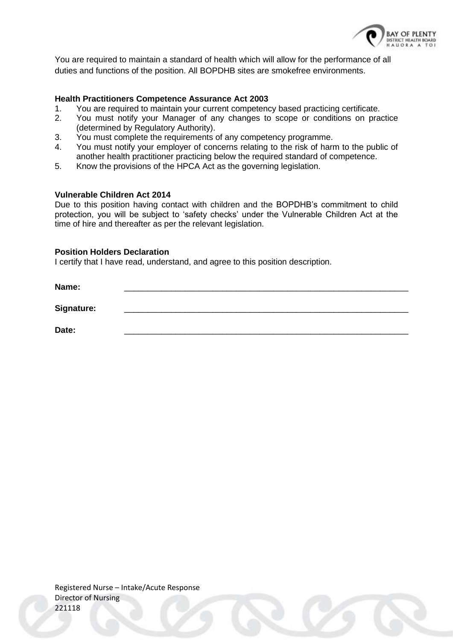

You are required to maintain a standard of health which will allow for the performance of all duties and functions of the position. All BOPDHB sites are smokefree environments.

#### **Health Practitioners Competence Assurance Act 2003**

- 1. You are required to maintain your current competency based practicing certificate.
- 2. You must notify your Manager of any changes to scope or conditions on practice (determined by Regulatory Authority).
- 3. You must complete the requirements of any competency programme.
- 4. You must notify your employer of concerns relating to the risk of harm to the public of another health practitioner practicing below the required standard of competence.
- 5. Know the provisions of the HPCA Act as the governing legislation.

#### **Vulnerable Children Act 2014**

Due to this position having contact with children and the BOPDHB's commitment to child protection, you will be subject to 'safety checks' under the Vulnerable Children Act at the time of hire and thereafter as per the relevant legislation.

#### **Position Holders Declaration**

I certify that I have read, understand, and agree to this position description.

**Name:** \_\_\_\_\_\_\_\_\_\_\_\_\_\_\_\_\_\_\_\_\_\_\_\_\_\_\_\_\_\_\_\_\_\_\_\_\_\_\_\_\_\_\_\_\_\_\_\_\_\_\_\_\_\_\_\_\_\_\_\_\_ Signature:

**Date:** \_\_\_\_\_\_\_\_\_\_\_\_\_\_\_\_\_\_\_\_\_\_\_\_\_\_\_\_\_\_\_\_\_\_\_\_\_\_\_\_\_\_\_\_\_\_\_\_\_\_\_\_\_\_\_\_\_\_\_\_\_